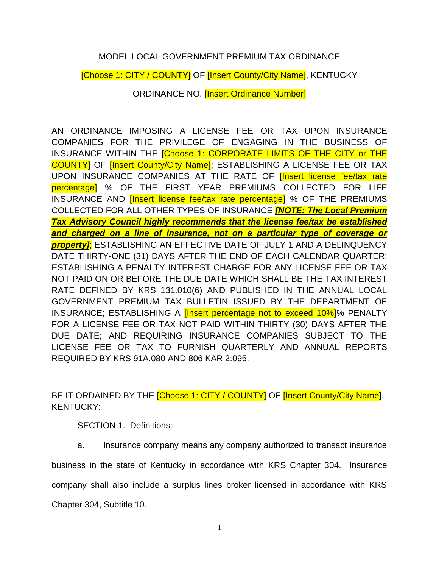## MODEL LOCAL GOVERNMENT PREMIUM TAX ORDINANCE

[Choose 1: CITY / COUNTY] OF [Insert County/City Name], KENTUCKY

ORDINANCE NO. [Insert Ordinance Number]

AN ORDINANCE IMPOSING A LICENSE FEE OR TAX UPON INSURANCE COMPANIES FOR THE PRIVILEGE OF ENGAGING IN THE BUSINESS OF INSURANCE WITHIN THE [Choose 1: CORPORATE LIMITS OF THE CITY or THE COUNTY] OF [Insert County/City Name]; ESTABLISHING A LICENSE FEE OR TAX UPON INSURANCE COMPANIES AT THE RATE OF **[Insert license fee/tax rate** percentage] % OF THE FIRST YEAR PREMIUMS COLLECTED FOR LIFE INSURANCE AND [Insert license fee/tax rate percentage] % OF THE PREMIUMS COLLECTED FOR ALL OTHER TYPES OF INSURANCE *[NOTE: The Local Premium Tax Advisory Council highly recommends that the license fee/tax be established and charged on a line of insurance, not on a particular type of coverage or property]*; ESTABLISHING AN EFFECTIVE DATE OF JULY 1 AND A DELINQUENCY DATE THIRTY-ONE (31) DAYS AFTER THE END OF EACH CALENDAR QUARTER; ESTABLISHING A PENALTY INTEREST CHARGE FOR ANY LICENSE FEE OR TAX NOT PAID ON OR BEFORE THE DUE DATE WHICH SHALL BE THE TAX INTEREST RATE DEFINED BY KRS 131.010(6) AND PUBLISHED IN THE ANNUAL LOCAL GOVERNMENT PREMIUM TAX BULLETIN ISSUED BY THE DEPARTMENT OF INSURANCE; ESTABLISHING A [Insert percentage not to exceed 10%]% PENALTY FOR A LICENSE FEE OR TAX NOT PAID WITHIN THIRTY (30) DAYS AFTER THE DUE DATE; AND REQUIRING INSURANCE COMPANIES SUBJECT TO THE LICENSE FEE OR TAX TO FURNISH QUARTERLY AND ANNUAL REPORTS REQUIRED BY KRS 91A.080 AND 806 KAR 2:095.

BE IT ORDAINED BY THE **[Choose 1: CITY / COUNTY]** OF **[Insert County/City Name]**, KENTUCKY:

SECTION 1. Definitions:

a. Insurance company means any company authorized to transact insurance

business in the state of Kentucky in accordance with KRS Chapter 304. Insurance

company shall also include a surplus lines broker licensed in accordance with KRS

Chapter 304, Subtitle 10.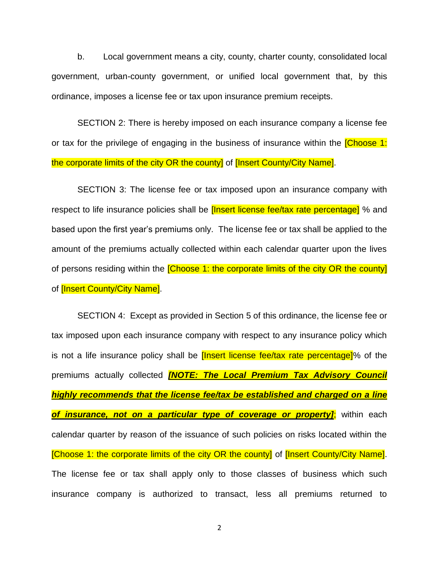b. Local government means a city, county, charter county, consolidated local government, urban-county government, or unified local government that, by this ordinance, imposes a license fee or tax upon insurance premium receipts.

SECTION 2: There is hereby imposed on each insurance company a license fee or tax for the privilege of engaging in the business of insurance within the **Choose 1:** the corporate limits of the city OR the county] of *[Insert County/City Name]*.

SECTION 3: The license fee or tax imposed upon an insurance company with respect to life insurance policies shall be *[Insert license fee/tax rate percentage]* % and based upon the first year's premiums only. The license fee or tax shall be applied to the amount of the premiums actually collected within each calendar quarter upon the lives of persons residing within the **[Choose 1: the corporate limits of the city OR the county]** of **[Insert County/City Name].** 

SECTION 4: Except as provided in Section 5 of this ordinance, the license fee or tax imposed upon each insurance company with respect to any insurance policy which is not a life insurance policy shall be *[Insert license fee/tax rate percentage]*% of the premiums actually collected *[NOTE: The Local Premium Tax Advisory Council highly recommends that the license fee/tax be established and charged on a line of insurance, not on a particular type of coverage or property]*; within each calendar quarter by reason of the issuance of such policies on risks located within the [Choose 1: the corporate limits of the city OR the county] of [Insert County/City Name]. The license fee or tax shall apply only to those classes of business which such insurance company is authorized to transact, less all premiums returned to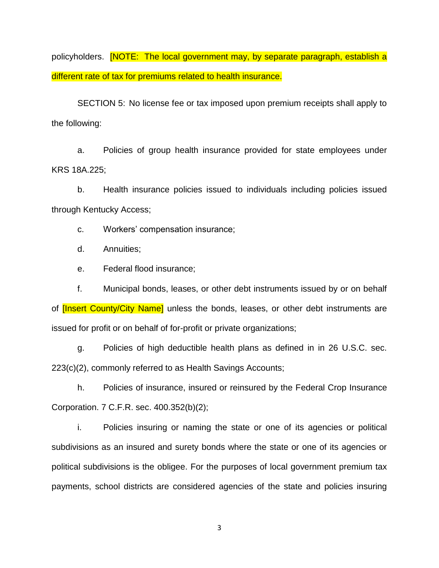policyholders. **[NOTE: The local government may, by separate paragraph, establish a** different rate of tax for premiums related to health insurance.

SECTION 5: No license fee or tax imposed upon premium receipts shall apply to the following:

a. Policies of group health insurance provided for state employees under KRS 18A.225;

b. Health insurance policies issued to individuals including policies issued through Kentucky Access;

c. Workers' compensation insurance;

d. Annuities;

e. Federal flood insurance;

f. Municipal bonds, leases, or other debt instruments issued by or on behalf of **[Insert County/City Name]** unless the bonds, leases, or other debt instruments are issued for profit or on behalf of for-profit or private organizations;

g. Policies of high deductible health plans as defined in in 26 U.S.C. sec. 223(c)(2), commonly referred to as Health Savings Accounts;

h. Policies of insurance, insured or reinsured by the Federal Crop Insurance Corporation. 7 C.F.R. sec. 400.352(b)(2);

i. Policies insuring or naming the state or one of its agencies or political subdivisions as an insured and surety bonds where the state or one of its agencies or political subdivisions is the obligee. For the purposes of local government premium tax payments, school districts are considered agencies of the state and policies insuring

3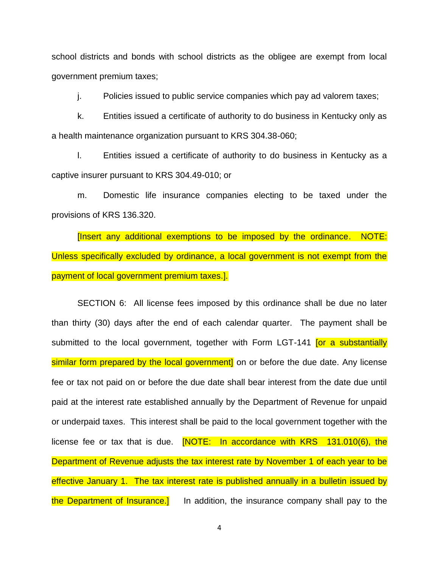school districts and bonds with school districts as the obligee are exempt from local government premium taxes;

j. Policies issued to public service companies which pay ad valorem taxes;

k. Entities issued a certificate of authority to do business in Kentucky only as a health maintenance organization pursuant to KRS 304.38-060;

l. Entities issued a certificate of authority to do business in Kentucky as a captive insurer pursuant to KRS 304.49-010; or

m. Domestic life insurance companies electing to be taxed under the provisions of KRS 136.320.

[Insert any additional exemptions to be imposed by the ordinance. NOTE: Unless specifically excluded by ordinance, a local government is not exempt from the payment of local government premium taxes.].

SECTION 6: All license fees imposed by this ordinance shall be due no later than thirty (30) days after the end of each calendar quarter. The payment shall be submitted to the local government, together with Form LGT-141 **For a substantially** similar form prepared by the local government] on or before the due date. Any license fee or tax not paid on or before the due date shall bear interest from the date due until paid at the interest rate established annually by the Department of Revenue for unpaid or underpaid taxes. This interest shall be paid to the local government together with the license fee or tax that is due.  $[NOTE:$  In accordance with  $KRS$  131.010(6), the Department of Revenue adjusts the tax interest rate by November 1 of each year to be effective January 1. The tax interest rate is published annually in a bulletin issued by the Department of Insurance.<sup>1</sup> In addition, the insurance company shall pay to the

4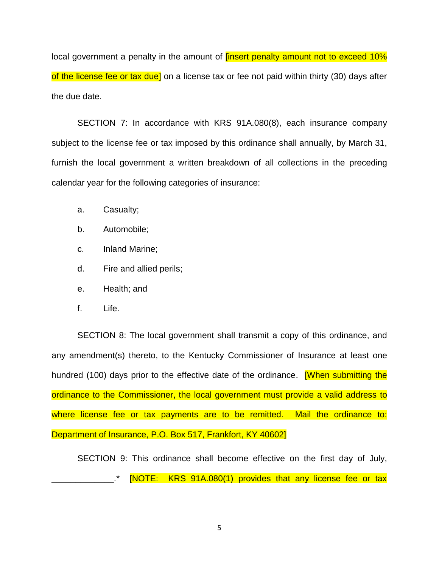local government a penalty in the amount of *[insert penalty amount not to exceed 10%* of the license fee or tax due] on a license tax or fee not paid within thirty (30) days after the due date.

SECTION 7: In accordance with KRS 91A.080(8), each insurance company subject to the license fee or tax imposed by this ordinance shall annually, by March 31, furnish the local government a written breakdown of all collections in the preceding calendar year for the following categories of insurance:

- a. Casualty;
- b. Automobile;
- c. Inland Marine;
- d. Fire and allied perils;
- e. Health; and
- f. Life.

SECTION 8: The local government shall transmit a copy of this ordinance, and any amendment(s) thereto, to the Kentucky Commissioner of Insurance at least one hundred (100) days prior to the effective date of the ordinance. **When submitting the** ordinance to the Commissioner, the local government must provide a valid address to where license fee or tax payments are to be remitted. Mail the ordinance to: Department of Insurance, P.O. Box 517, Frankfort, KY 40602]

SECTION 9: This ordinance shall become effective on the first day of July, [NOTE: KRS 91A.080(1) provides that any license fee or tax